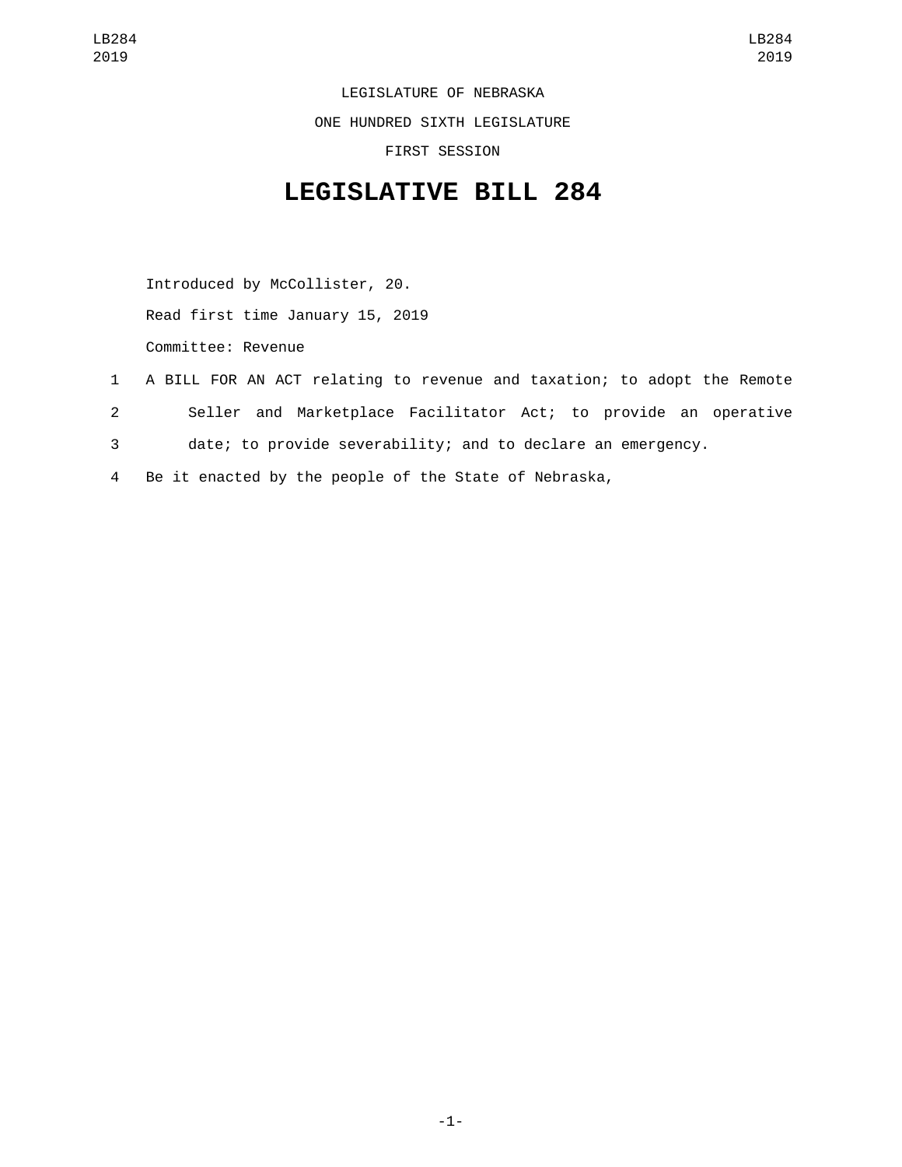LEGISLATURE OF NEBRASKA

ONE HUNDRED SIXTH LEGISLATURE

FIRST SESSION

## **LEGISLATIVE BILL 284**

Introduced by McCollister, 20. Read first time January 15, 2019

Committee: Revenue

- 1 A BILL FOR AN ACT relating to revenue and taxation; to adopt the Remote 2 Seller and Marketplace Facilitator Act; to provide an operative 3 date; to provide severability; and to declare an emergency.
- 4 Be it enacted by the people of the State of Nebraska,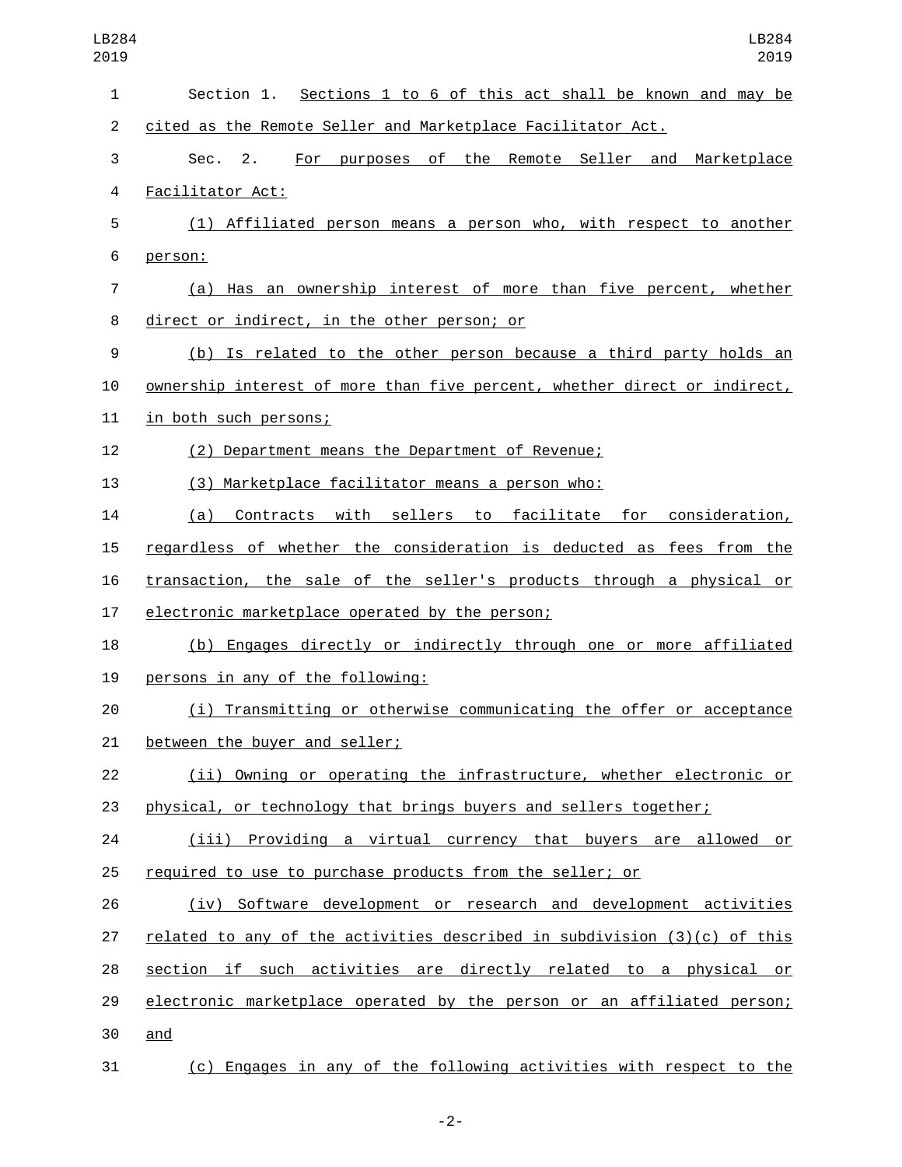| LB284<br>2019  | LB284<br>2019                                                              |
|----------------|----------------------------------------------------------------------------|
| $\mathbf{1}$   | Section 1. Sections 1 to 6 of this act shall be known and may be           |
| $\overline{2}$ | cited as the Remote Seller and Marketplace Facilitator Act.                |
| 3              | For purposes of the Remote Seller and Marketplace<br>Sec.<br>2.            |
| 4              | Facilitator Act:                                                           |
| 5              | (1) Affiliated person means a person who, with respect to another          |
| 6              | person:                                                                    |
| 7              | (a) Has an ownership interest of more than five percent, whether           |
| 8              | direct or indirect, in the other person; or                                |
| 9              | (b) Is related to the other person because a third party holds an          |
| 10             | ownership interest of more than five percent, whether direct or indirect,  |
| 11             | in both such persons;                                                      |
| 12             | (2) Department means the Department of Revenue;                            |
| 13             | (3) Marketplace facilitator means a person who:                            |
| 14             | Contracts with sellers to facilitate for<br>(a)<br>consideration,          |
| 15             | regardless of whether the consideration is deducted as fees from the       |
| 16             | transaction, the sale of the seller's products through a physical or       |
| 17             | electronic marketplace operated by the person;                             |
| 18             | (b) Engages directly or indirectly through one or more affiliated          |
| 19             | persons in any of the following:                                           |
| 20             | (i) Transmitting or otherwise communicating the offer or acceptance        |
| 21             | between the buyer and seller;                                              |
| 22             | (ii) Owning or operating the infrastructure, whether electronic or         |
| 23             | physical, or technology that brings buyers and sellers together;           |
| 24             | (iii) Providing a virtual currency that buyers are allowed or              |
| 25             | required to use to purchase products from the seller; or                   |
| 26             | (iv) Software development or research and development activities           |
| 27             | related to any of the activities described in subdivision $(3)(c)$ of this |
| 28             | section if such activities are directly related to a physical or           |
| 29             | electronic marketplace operated by the person or an affiliated person;     |
| 30             | and                                                                        |
| 31             | (c) Engages in any of the following activities with respect to the         |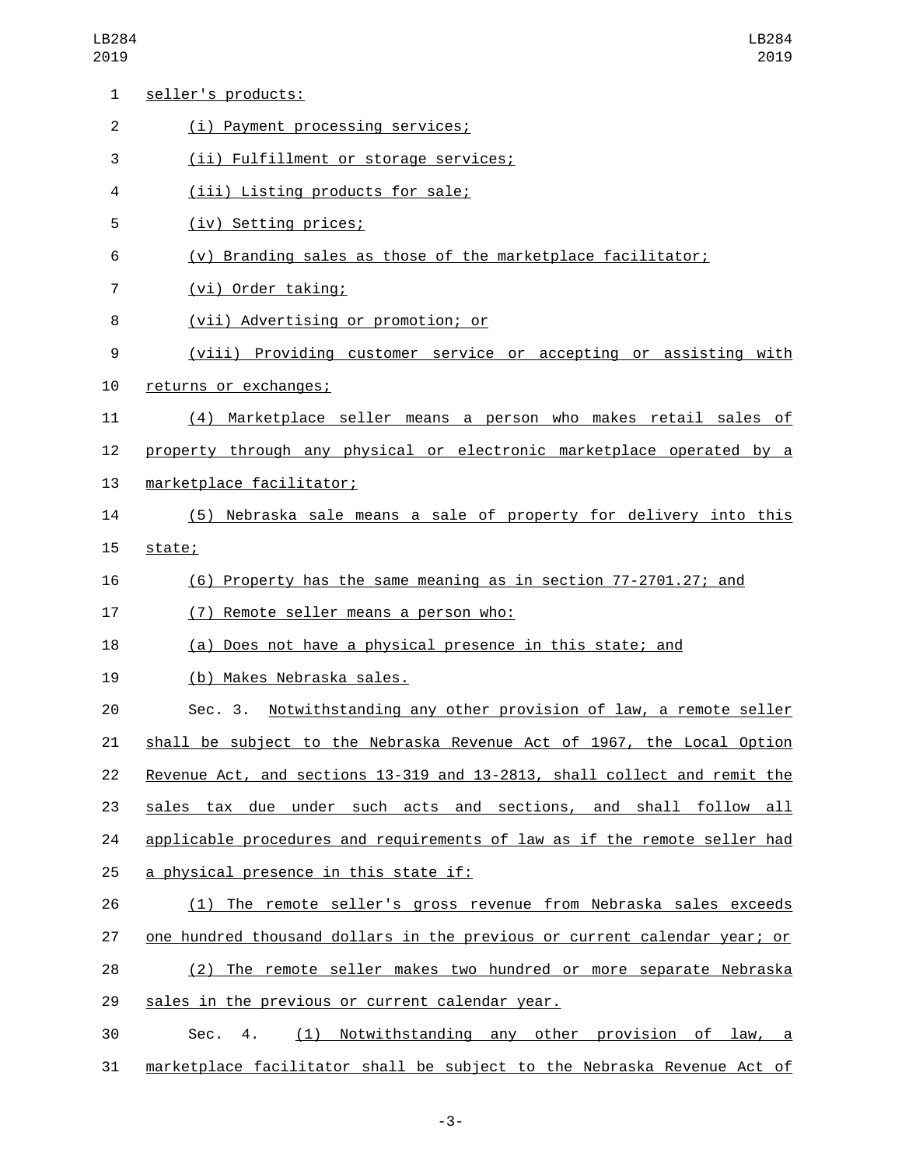| 1              | seller's products:                                                        |
|----------------|---------------------------------------------------------------------------|
| $\overline{2}$ | (i) Payment processing services;                                          |
| 3              | (ii) Fulfillment or storage services;                                     |
| 4              | (iii) Listing products for sale;                                          |
| 5              | (iv) Setting prices;                                                      |
| 6              | (v) Branding sales as those of the marketplace facilitator;               |
| $\overline{7}$ | (vi) Order taking;                                                        |
| 8              | (vii) Advertising or promotion; or                                        |
| 9              | (viii) Providing customer service or accepting or assisting with          |
| 10             | returns or exchanges;                                                     |
| 11             | (4) Marketplace seller means a person who makes retail sales of           |
| 12             | property through any physical or electronic marketplace operated by a     |
| 13             | marketplace facilitator;                                                  |
| 14             | (5) Nebraska sale means a sale of property for delivery into this         |
| 15             | state;                                                                    |
| 16             | (6) Property has the same meaning as in section 77-2701.27; and           |
| 17             | (7) Remote seller means a person who:                                     |
| 18             | (a) Does not have a physical presence in this state; and                  |
| 19             | (b) Makes Nebraska sales.                                                 |
| 20             | Sec. 3. Notwithstanding any other provision of law, a remote seller       |
| 21             | shall be subject to the Nebraska Revenue Act of 1967, the Local Option    |
| 22             | Revenue Act, and sections 13-319 and 13-2813, shall collect and remit the |
| 23             | sales tax due under such acts and sections, and shall follow all          |
| 24             | applicable procedures and requirements of law as if the remote seller had |
| 25             | <u>a physical presence in this state if:</u>                              |
| 26             | (1) The remote seller's gross revenue from Nebraska sales exceeds         |
| 27             | one hundred thousand dollars in the previous or current calendar year; or |
| 28             | (2) The remote seller makes two hundred or more separate Nebraska         |
| 29             | sales in the previous or current calendar year.                           |
| 30             | (1) Notwithstanding any other provision of law, a<br>Sec.<br>4.           |
| 31             | marketplace facilitator shall be subject to the Nebraska Revenue Act of   |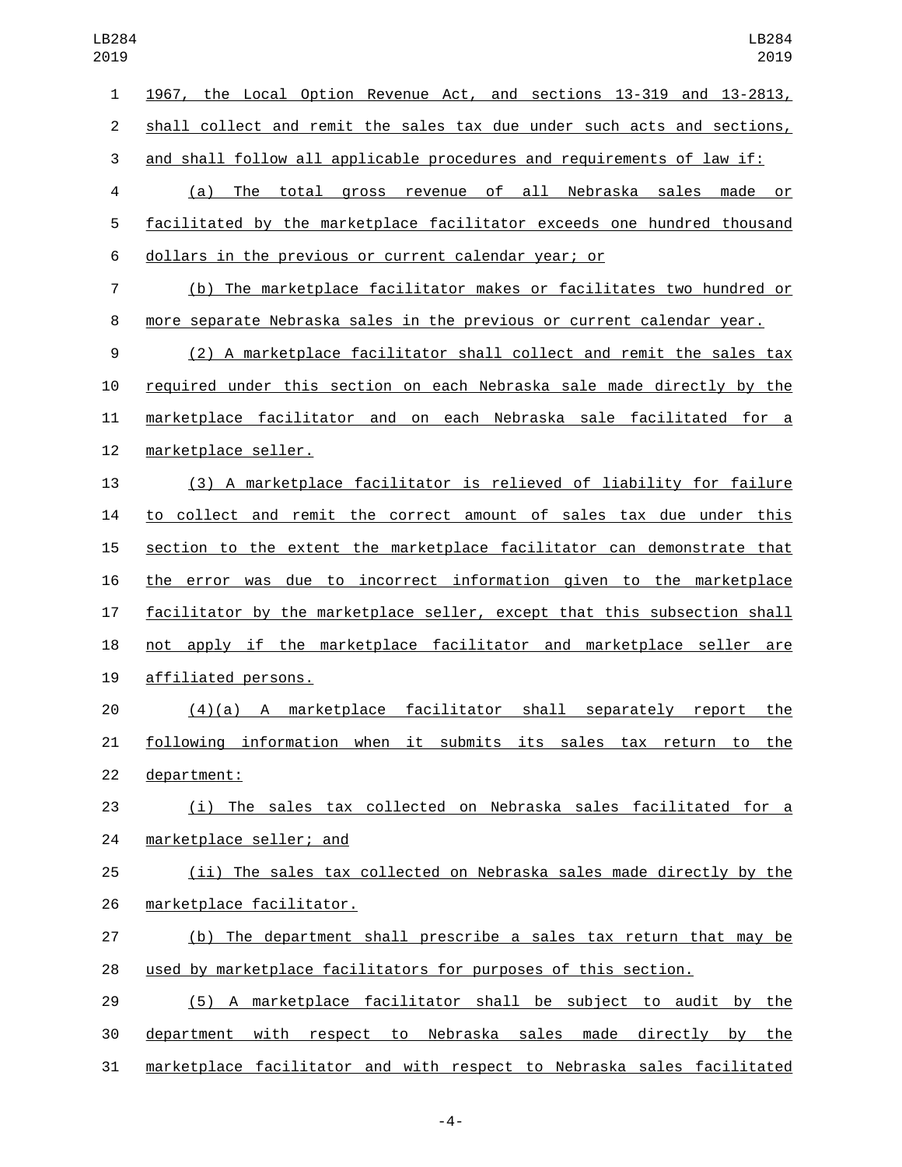| 1              | 1967, the Local Option Revenue Act, and sections 13-319 and 13-2813,     |
|----------------|--------------------------------------------------------------------------|
| $\overline{2}$ | shall collect and remit the sales tax due under such acts and sections,  |
| 3              | and shall follow all applicable procedures and requirements of law if:   |
| 4              | (a) The total gross revenue of all Nebraska sales made or                |
| 5              | facilitated by the marketplace facilitator exceeds one hundred thousand  |
| 6              | <u>dollars in the previous or current calendar year; or</u>              |
| 7              | (b) The marketplace facilitator makes or facilitates two hundred or      |
| 8              | more separate Nebraska sales in the previous or current calendar year.   |
| 9              | (2) A marketplace facilitator shall collect and remit the sales tax      |
| 10             | required under this section on each Nebraska sale made directly by the   |
| 11             | marketplace facilitator and on each Nebraska sale facilitated for a      |
| 12             | marketplace seller.                                                      |
| 13             | (3) A marketplace facilitator is relieved of liability for failure       |
| 14             | to collect and remit the correct amount of sales tax due under this      |
| 15             | section to the extent the marketplace facilitator can demonstrate that   |
| 16             | the error was due to incorrect information given to the marketplace      |
| 17             | facilitator by the marketplace seller, except that this subsection shall |
| 18             | not apply if the marketplace facilitator and marketplace seller are      |
| 19             | affiliated persons.                                                      |
| 20             | marketplace facilitator shall<br>separately report<br>(4)(a)<br>the<br>A |
| 21             | following information when it submits its sales tax return to the        |
| 22             | department:                                                              |
| 23             | (i) The sales tax collected on Nebraska sales facilitated for a          |
| 24             | marketplace seller; and                                                  |
| 25             | (ii) The sales tax collected on Nebraska sales made directly by the      |
| 26             | marketplace facilitator.                                                 |
| 27             | (b) The department shall prescribe a sales tax return that may be        |
| 28             | used by marketplace facilitators for purposes of this section.           |
| 29             | (5) A marketplace facilitator shall be subject to audit by the           |
| 30             | department with respect to Nebraska sales made directly by<br>the        |
|                |                                                                          |

marketplace facilitator and with respect to Nebraska sales facilitated